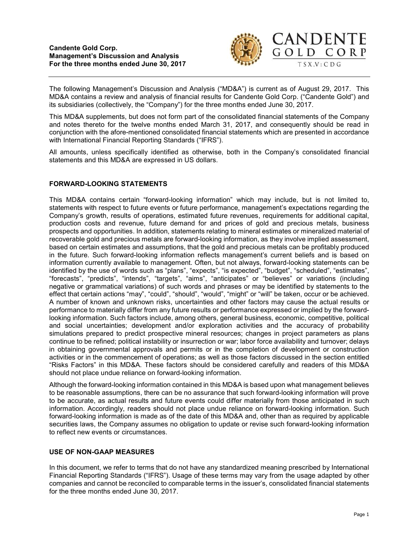

The following Management's Discussion and Analysis ("MD&A") is current as of August 29, 2017. This MD&A contains a review and analysis of financial results for Candente Gold Corp. ("Candente Gold") and its subsidiaries (collectively, the "Company") for the three months ended June 30, 2017.

This MD&A supplements, but does not form part of the consolidated financial statements of the Company and notes thereto for the twelve months ended March 31, 2017, and consequently should be read in conjunction with the afore-mentioned consolidated financial statements which are presented in accordance with International Financial Reporting Standards ("IFRS").

All amounts, unless specifically identified as otherwise, both in the Company's consolidated financial statements and this MD&A are expressed in US dollars.

# FORWARD-LOOKING STATEMENTS

This MD&A contains certain "forward-looking information" which may include, but is not limited to, statements with respect to future events or future performance, management's expectations regarding the Company's growth, results of operations, estimated future revenues, requirements for additional capital, production costs and revenue, future demand for and prices of gold and precious metals, business prospects and opportunities. In addition, statements relating to mineral estimates or mineralized material of recoverable gold and precious metals are forward-looking information, as they involve implied assessment, based on certain estimates and assumptions, that the gold and precious metals can be profitably produced in the future. Such forward-looking information reflects management's current beliefs and is based on information currently available to management. Often, but not always, forward-looking statements can be identified by the use of words such as "plans", "expects", "is expected", "budget", "scheduled", "estimates", "forecasts", "predicts", "intends", "targets", "aims", "anticipates" or "believes" or variations (including negative or grammatical variations) of such words and phrases or may be identified by statements to the effect that certain actions "may", "could", "should", "would", "might" or "will" be taken, occur or be achieved. A number of known and unknown risks, uncertainties and other factors may cause the actual results or performance to materially differ from any future results or performance expressed or implied by the forwardlooking information. Such factors include, among others, general business, economic, competitive, political and social uncertainties; development and/or exploration activities and the accuracy of probability simulations prepared to predict prospective mineral resources; changes in project parameters as plans continue to be refined; political instability or insurrection or war; labor force availability and turnover; delays in obtaining governmental approvals and permits or in the completion of development or construction activities or in the commencement of operations; as well as those factors discussed in the section entitled "Risks Factors" in this MD&A. These factors should be considered carefully and readers of this MD&A should not place undue reliance on forward-looking information.

Although the forward-looking information contained in this MD&A is based upon what management believes to be reasonable assumptions, there can be no assurance that such forward-looking information will prove to be accurate, as actual results and future events could differ materially from those anticipated in such information. Accordingly, readers should not place undue reliance on forward-looking information. Such forward-looking information is made as of the date of this MD&A and, other than as required by applicable securities laws, the Company assumes no obligation to update or revise such forward-looking information to reflect new events or circumstances.

# USE OF NON-GAAP MEASURES

In this document, we refer to terms that do not have any standardized meaning prescribed by International Financial Reporting Standards ("IFRS"). Usage of these terms may vary from the usage adapted by other companies and cannot be reconciled to comparable terms in the issuer's, consolidated financial statements for the three months ended June 30, 2017.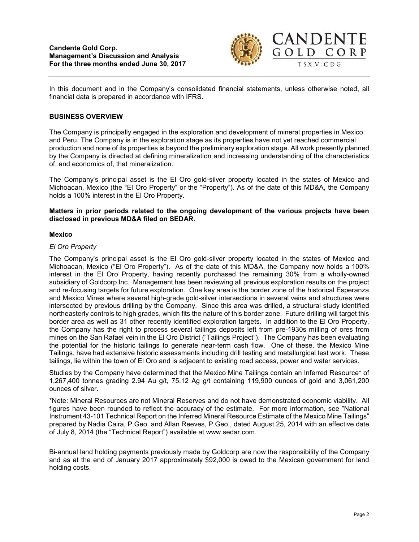

In this document and in the Company's consolidated financial statements, unless otherwise noted, all financial data is prepared in accordance with IFRS.

# BUSINESS OVERVIEW

The Company is principally engaged in the exploration and development of mineral properties in Mexico and Peru. The Company is in the exploration stage as its properties have not yet reached commercial production and none of its properties is beyond the preliminary exploration stage. All work presently planned by the Company is directed at defining mineralization and increasing understanding of the characteristics of, and economics of, that mineralization.

The Company's principal asset is the El Oro gold-silver property located in the states of Mexico and Michoacan, Mexico (the "El Oro Property" or the "Property"). As of the date of this MD&A, the Company holds a 100% interest in the El Oro Property.

## Matters in prior periods related to the ongoing development of the various projects have been disclosed in previous MD&A filed on SEDAR.

## Mexico

## El Oro Property

The Company's principal asset is the El Oro gold-silver property located in the states of Mexico and Michoacan, Mexico ("El Oro Property"). As of the date of this MD&A, the Company now holds a 100% interest in the El Oro Property, having recently purchased the remaining 30% from a wholly-owned subsidiary of Goldcorp Inc. Management has been reviewing all previous exploration results on the project and re-focusing targets for future exploration. One key area is the border zone of the historical Esperanza and Mexico Mines where several high-grade gold-silver intersections in several veins and structures were intersected by previous drilling by the Company. Since this area was drilled, a structural study identified northeasterly controls to high grades, which fits the nature of this border zone. Future drilling will target this border area as well as 31 other recently identified exploration targets. In addition to the El Oro Property, the Company has the right to process several tailings deposits left from pre-1930s milling of ores from mines on the San Rafael vein in the El Oro District ("Tailings Project"). The Company has been evaluating the potential for the historic tailings to generate near-term cash flow. One of these, the Mexico Mine Tailings, have had extensive historic assessments including drill testing and metallurgical test work. These tailings, lie within the town of El Oro and is adjacent to existing road access, power and water services.

Studies by the Company have determined that the Mexico Mine Tailings contain an Inferred Resource\* of 1,267,400 tonnes grading 2.94 Au g/t, 75.12 Ag g/t containing 119,900 ounces of gold and 3,061,200 ounces of silver.

\*Note: Mineral Resources are not Mineral Reserves and do not have demonstrated economic viability. All figures have been rounded to reflect the accuracy of the estimate. For more information, see "National Instrument 43-101 Technical Report on the Inferred Mineral Resource Estimate of the Mexico Mine Tailings" prepared by Nadia Caira, P.Geo. and Allan Reeves, P.Geo., dated August 25, 2014 with an effective date of July 8, 2014 (the "Technical Report") available at www.sedar.com.

Bi-annual land holding payments previously made by Goldcorp are now the responsibility of the Company and as at the end of January 2017 approximately \$92,000 is owed to the Mexican government for land holding costs.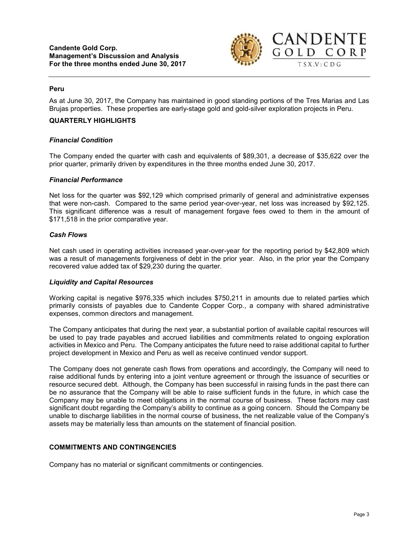

### Peru

As at June 30, 2017, the Company has maintained in good standing portions of the Tres Marias and Las Brujas properties. These properties are early-stage gold and gold-silver exploration projects in Peru.

### QUARTERLY HIGHLIGHTS

### Financial Condition

The Company ended the quarter with cash and equivalents of \$89,301, a decrease of \$35,622 over the prior quarter, primarily driven by expenditures in the three months ended June 30, 2017.

#### Financial Performance

Net loss for the quarter was \$92,129 which comprised primarily of general and administrative expenses that were non-cash. Compared to the same period year-over-year, net loss was increased by \$92,125. This significant difference was a result of management forgave fees owed to them in the amount of \$171,518 in the prior comparative year.

### Cash Flows

Net cash used in operating activities increased year-over-year for the reporting period by \$42,809 which was a result of managements forgiveness of debt in the prior year. Also, in the prior year the Company recovered value added tax of \$29,230 during the quarter.

#### Liquidity and Capital Resources

Working capital is negative \$976,335 which includes \$750,211 in amounts due to related parties which primarily consists of payables due to Candente Copper Corp., a company with shared administrative expenses, common directors and management.

The Company anticipates that during the next year, a substantial portion of available capital resources will be used to pay trade payables and accrued liabilities and commitments related to ongoing exploration activities in Mexico and Peru. The Company anticipates the future need to raise additional capital to further project development in Mexico and Peru as well as receive continued vendor support.

The Company does not generate cash flows from operations and accordingly, the Company will need to raise additional funds by entering into a joint venture agreement or through the issuance of securities or resource secured debt. Although, the Company has been successful in raising funds in the past there can be no assurance that the Company will be able to raise sufficient funds in the future, in which case the Company may be unable to meet obligations in the normal course of business. These factors may cast significant doubt regarding the Company's ability to continue as a going concern. Should the Company be unable to discharge liabilities in the normal course of business, the net realizable value of the Company's assets may be materially less than amounts on the statement of financial position.

## COMMITMENTS AND CONTINGENCIES

Company has no material or significant commitments or contingencies.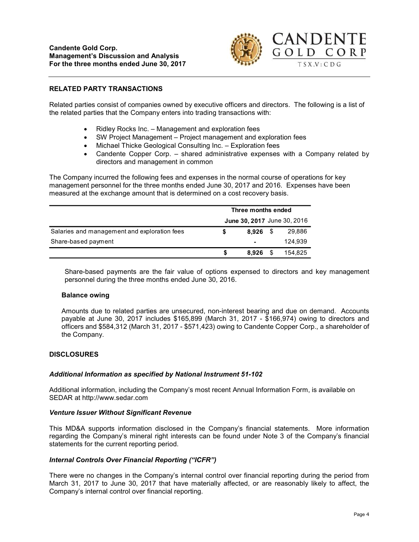

# RELATED PARTY TRANSACTIONS

Related parties consist of companies owned by executive officers and directors. The following is a list of the related parties that the Company enters into trading transactions with:

- Ridley Rocks Inc. Management and exploration fees
- SW Project Management Project management and exploration fees
- Michael Thicke Geological Consulting Inc. Exploration fees
- Candente Copper Corp. shared administrative expenses with a Company related by directors and management in common

The Company incurred the following fees and expenses in the normal course of operations for key management personnel for the three months ended June 30, 2017 and 2016. Expenses have been measured at the exchange amount that is determined on a cost recovery basis.

|                                              | Three months ended<br>June 30, 2017 June 30, 2016 |            |  |         |
|----------------------------------------------|---------------------------------------------------|------------|--|---------|
|                                              |                                                   |            |  |         |
| Salaries and management and exploration fees |                                                   | $8.926$ \$ |  | 29,886  |
| Share-based payment                          |                                                   | ٠          |  | 124.939 |
|                                              | S                                                 | 8.926      |  | 154.825 |

Share-based payments are the fair value of options expensed to directors and key management personnel during the three months ended June 30, 2016.

#### Balance owing

Amounts due to related parties are unsecured, non-interest bearing and due on demand. Accounts payable at June 30, 2017 includes \$165,899 (March 31, 2017 - \$166,974) owing to directors and officers and \$584,312 (March 31, 2017 - \$571,423) owing to Candente Copper Corp., a shareholder of the Company.

## **DISCLOSURES**

## Additional Information as specified by National Instrument 51-102

Additional information, including the Company's most recent Annual Information Form, is available on SEDAR at http://www.sedar.com

#### Venture Issuer Without Significant Revenue

This MD&A supports information disclosed in the Company's financial statements. More information regarding the Company's mineral right interests can be found under Note 3 of the Company's financial statements for the current reporting period.

## Internal Controls Over Financial Reporting ("ICFR")

There were no changes in the Company's internal control over financial reporting during the period from March 31, 2017 to June 30, 2017 that have materially affected, or are reasonably likely to affect, the Company's internal control over financial reporting.